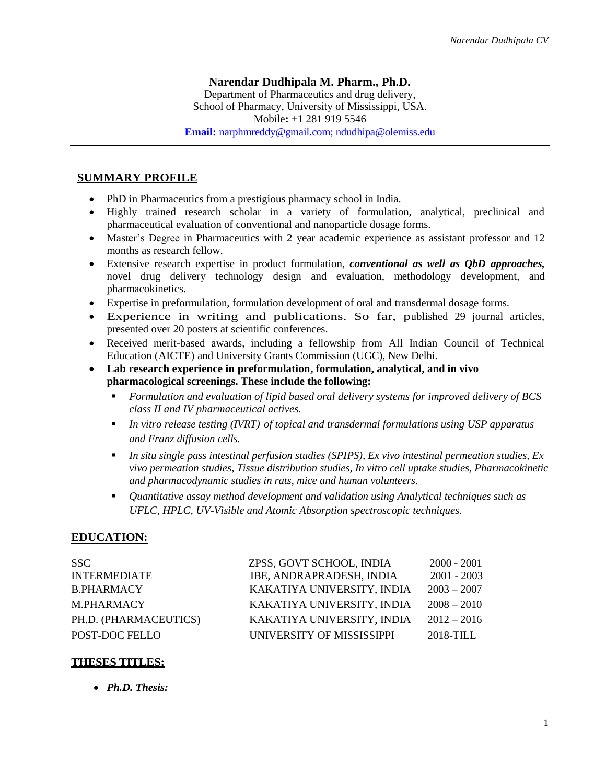## **Narendar Dudhipala M. Pharm., Ph.D.**

Department of Pharmaceutics and drug delivery, School of Pharmacy, University of Mississippi, USA. Mobile**:** +1 281 919 5546 **Email:** [narphmreddy@gmail.com;](mailto:Email:%20narphmreddy@gmail.com) ndudhipa@olemiss.edu

### **SUMMARY PROFILE**

- PhD in Pharmaceutics from a prestigious pharmacy school in India.
- Highly trained research scholar in a variety of formulation, analytical, preclinical and pharmaceutical evaluation of conventional and nanoparticle dosage forms.
- Master's Degree in Pharmaceutics with 2 year academic experience as assistant professor and 12 months as research fellow.
- Extensive research expertise in product formulation, *conventional as well as QbD approaches,* novel drug delivery technology design and evaluation, methodology development, and pharmacokinetics.
- Expertise in preformulation, formulation development of oral and transdermal dosage forms.
- Experience in writing and publications. So far, published 29 journal articles, presented over 20 posters at scientific conferences.
- Received merit-based awards, including a fellowship from All Indian Council of Technical Education (AICTE) and University Grants Commission (UGC), New Delhi.
- **Lab research experience in preformulation, formulation, analytical, and in vivo pharmacological screenings. These include the following:** 
	- *Formulation and evaluation of lipid based oral delivery systems for improved delivery of BCS class II and IV pharmaceutical actives.*
	- In vitro release testing (IVRT) of topical and transdermal formulations using USP apparatus *and Franz diffusion cells.*
	- *In situ single pass intestinal perfusion studies (SPIPS), Ex vivo intestinal permeation studies, Ex vivo permeation studies, Tissue distribution studies, In vitro cell uptake studies, Pharmacokinetic and pharmacodynamic studies in rats, mice and human volunteers.*
	- *Quantitative assay method development and validation using Analytical techniques such as UFLC, HPLC, UV-Visible and Atomic Absorption spectroscopic techniques*.

# **EDUCATION:**

| SSC.                  | ZPSS, GOVT SCHOOL, INDIA   | $2000 - 2001$ |
|-----------------------|----------------------------|---------------|
| <b>INTERMEDIATE</b>   | IBE, ANDRAPRADESH, INDIA   | $2001 - 2003$ |
| <b>B.PHARMACY</b>     | KAKATIYA UNIVERSITY, INDIA | $2003 - 2007$ |
| M.PHARMACY            | KAKATIYA UNIVERSITY, INDIA | $2008 - 2010$ |
| PH.D. (PHARMACEUTICS) | KAKATIYA UNIVERSITY, INDIA | $2012 - 2016$ |
| POST-DOC FELLO        | UNIVERSITY OF MISSISSIPPI  | 2018-TILL     |

# **THESES TITLES:**

• *Ph.D. Thesis:*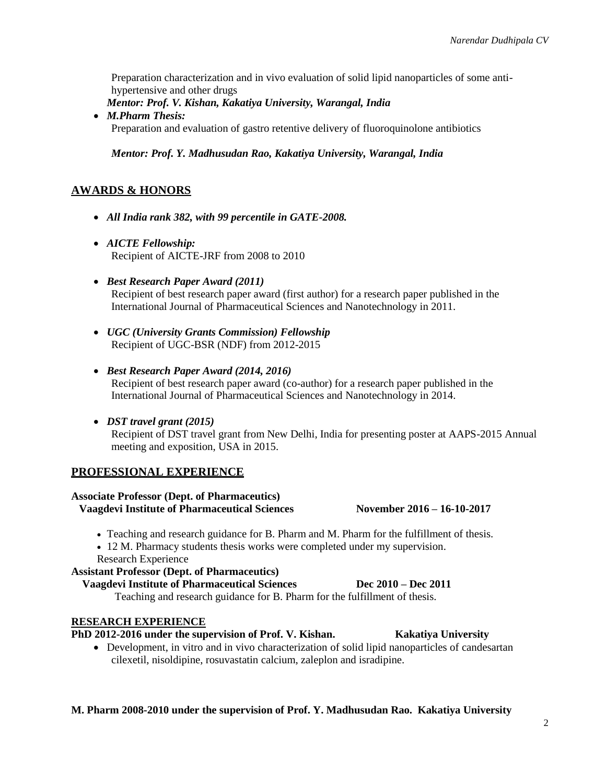Preparation characterization and in vivo evaluation of solid lipid nanoparticles of some antihypertensive and other drugs

*Mentor: Prof. V. Kishan, Kakatiya University, Warangal, India*

• *M.Pharm Thesis:*  Preparation and evaluation of gastro retentive delivery of fluoroquinolone antibiotics

#### *Mentor: Prof. Y. Madhusudan Rao, Kakatiya University, Warangal, India*

## **AWARDS & HONORS**

- *All India rank 382, with 99 percentile in GATE-2008.*
- *AICTE Fellowship:*  Recipient of AICTE-JRF from 2008 to 2010
- *Best Research Paper Award (2011)* Recipient of best research paper award (first author) for a research paper published in the International Journal of Pharmaceutical Sciences and Nanotechnology in 2011.
- *UGC (University Grants Commission) Fellowship* Recipient of UGC-BSR (NDF) from 2012-2015
- *Best Research Paper Award (2014, 2016)* Recipient of best research paper award (co-author) for a research paper published in the International Journal of Pharmaceutical Sciences and Nanotechnology in 2014.
- *DST travel grant (2015)*

Recipient of DST travel grant from New Delhi, India for presenting poster at AAPS-2015 Annual meeting and exposition, USA in 2015.

### **PROFESSIONAL EXPERIENCE**

#### **Associate Professor (Dept. of Pharmaceutics)**

**Vaagdevi Institute of Pharmaceutical Sciences November 2016 – 16-10-2017**

• Teaching and research guidance for B. Pharm and M. Pharm for the fulfillment of thesis.

- 12 M. Pharmacy students thesis works were completed under my supervision.
- Research Experience

# **Assistant Professor (Dept. of Pharmaceutics)**

# **Vaagdevi Institute of Pharmaceutical Sciences Dec 2010 – Dec 2011**

Teaching and research guidance for B. Pharm for the fulfillment of thesis.

# **RESEARCH EXPERIENCE**

# **PhD 2012-2016 under the supervision of Prof. V. Kishan. Kakatiya University**

• Development, in vitro and in vivo characterization of solid lipid nanoparticles of candesartan cilexetil, nisoldipine, rosuvastatin calcium, zaleplon and isradipine.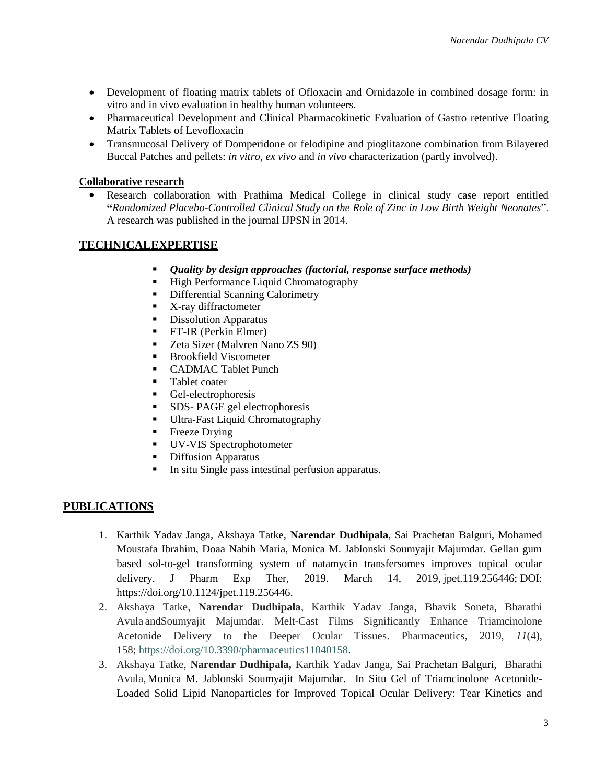- Development of floating matrix tablets of Ofloxacin and Ornidazole in combined dosage form: in vitro and in vivo evaluation in healthy human volunteers.
- Pharmaceutical Development and Clinical Pharmacokinetic Evaluation of Gastro retentive Floating Matrix Tablets of Levofloxacin
- Transmucosal Delivery of Domperidone or felodipine and pioglitazone combination from Bilayered Buccal Patches and pellets: *in vitro*, *ex vivo* and *in vivo* characterization (partly involved).

#### **Collaborative research**

• Research collaboration with Prathima Medical College in clinical study case report entitled **"***Randomized Placebo-Controlled Clinical Study on the Role of Zinc in Low Birth Weight Neonates*". A research was published in the journal IJPSN in 2014.

## **TECHNICALEXPERTISE**

- *Quality by design approaches (factorial, response surface methods)*
- High Performance Liquid Chromatography
- **•** Differential Scanning Calorimetry
- X-ray diffractometer
- **Dissolution Apparatus**
- **•** FT-IR (Perkin Elmer)
- Zeta Sizer (Malvren Nano ZS 90)
- Brookfield Viscometer
- CADMAC Tablet Punch
- Tablet coater
- Gel-electrophoresis
- SDS- PAGE gel electrophoresis
- **•** Ultra-Fast Liquid Chromatography
- **•** Freeze Drying
- UV-VIS Spectrophotometer
- Diffusion Apparatus
- In situ Single pass intestinal perfusion apparatus.

# **PUBLICATIONS**

- 1. Karthik Yadav Janga, Akshaya Tatke, **Narendar Dudhipala**, Sai Prachetan Balguri, Mohamed Moustafa Ibrahim, Doaa Nabih Maria, Monica M. Jablonski Soumyajit Majumdar. Gellan gum based sol-to-gel transforming system of natamycin transfersomes improves topical ocular delivery. J Pharm Exp Ther, 2019. March 14, 2019, jpet.119.256446; DOI: https://doi.org/10.1124/jpet.119.256446.
- 2. [Akshaya Tatke,](https://www.mdpi.com/search?authors=Akshaya%20Tatke&orcid=) **[Narendar Dudhipala](https://www.mdpi.com/search?authors=Narendar%20Dudhipala&orcid=)**, [Karthik Yadav Janga,](https://www.mdpi.com/search?authors=Karthik%20%20Yadav%20Janga&orcid=) [Bhavik Soneta,](https://www.mdpi.com/search?authors=Bhavik%20Soneta&orcid=) [Bharathi](https://www.mdpi.com/search?authors=Bharathi%20Avula&orcid=)  [Avula](https://www.mdpi.com/search?authors=Bharathi%20Avula&orcid=) an[dSoumyajit Majumdar.](https://www.mdpi.com/search?authors=Soumyajit%20Majumdar&orcid=) Melt-Cast Films Significantly Enhance Triamcinolone Acetonide Delivery to the Deeper Ocular Tissues. Pharmaceutics, 2019, *11*(4), 158; [https://doi.org/10.3390/pharmaceutics11040158.](https://doi.org/10.3390/pharmaceutics11040158)
- 3. [Akshaya Tatke,](https://www.mdpi.com/search?authors=Akshaya%20Tatke&orcid=) **[Narendar Dudhipala,](https://www.mdpi.com/search?authors=Narendar%20Dudhipala&orcid=)** [Karthik Yadav Janga,](https://www.mdpi.com/search?authors=Karthik%20%20Yadav%20Janga&orcid=) Sai Prachetan Balguri, [Bharathi](https://www.mdpi.com/search?authors=Bharathi%20Avula&orcid=)  [Avula,](https://www.mdpi.com/search?authors=Bharathi%20Avula&orcid=) Monica M. Jablonski Soumyajit Majumdar. In Situ Gel of Triamcinolone Acetonide-Loaded Solid Lipid Nanoparticles for Improved Topical Ocular Delivery: Tear Kinetics and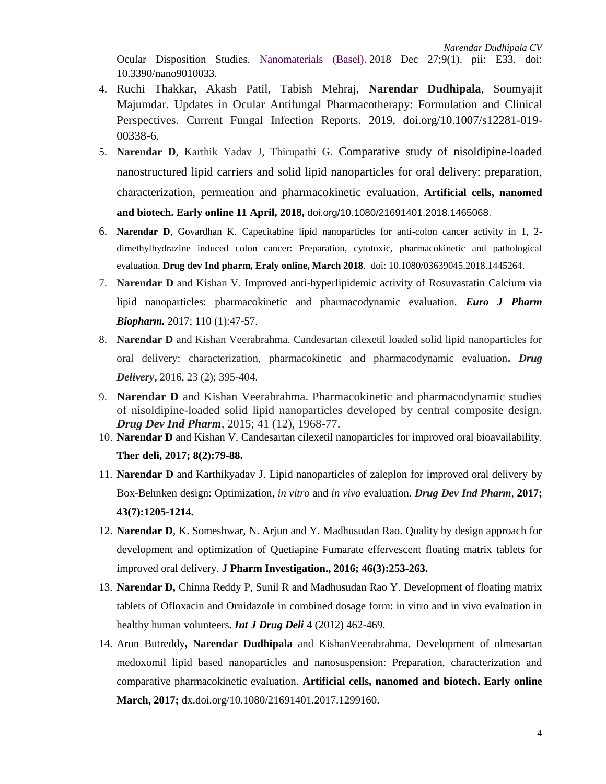Ocular Disposition Studies. [Nanomaterials \(Basel\).](https://www.ncbi.nlm.nih.gov/pubmed/30591688) 2018 Dec 27;9(1). pii: E33. doi: 10.3390/nano9010033.

- 4. Ruchi Thakkar, Akash Patil, Tabish Mehraj, **Narendar Dudhipala**, Soumyajit Majumdar. Updates in Ocular Antifungal Pharmacotherapy: Formulation and Clinical Perspectives. Current Fungal Infection Reports. 2019, doi.org/10.1007/s12281-019- 00338-6.
- 5. **Narendar D**, Karthik Yadav J, Thirupathi G. [Comparative study of nisoldipine-loaded](https://www.tandfonline.com/doi/full/10.1080/21691401.2018.1465068)  [nanostructured lipid carriers and solid lipid nanoparticles for oral delivery: preparation,](https://www.tandfonline.com/doi/full/10.1080/21691401.2018.1465068)  [characterization, permeation and pharmacokinetic evaluation.](https://www.tandfonline.com/doi/full/10.1080/21691401.2018.1465068) **Artificial cells, nanomed and biotech. Early online 11 April, 2018,** doi.org/10.1080/21691401.2018.1465068.
- 6. **Narendar D**, Govardhan K. Capecitabine lipid nanoparticles for anti-colon cancer activity in 1, 2 dimethylhydrazine induced colon cancer: Preparation, cytotoxic, pharmacokinetic and pathological evaluation. **Drug dev Ind pharm, Eraly online, March 2018**. doi: 10.1080/03639045.2018.1445264.
- 7. **Narendar D** and Kishan V. Improved anti-hyperlipidemic activity of Rosuvastatin Calcium via lipid nanoparticles: pharmacokinetic and pharmacodynamic evaluation. *Euro J Pharm Biopharm.* 2017; 110 (1):47-57.
- 8. **Narendar D** and Kishan Veerabrahma. Candesartan cilexetil loaded solid lipid nanoparticles for oral delivery: characterization, pharmacokinetic and pharmacodynamic evaluation**.** *Drug Delivery***,** 2016, 23 (2); 395-404.
- 9. **Narendar D** and Kishan Veerabrahma. Pharmacokinetic and pharmacodynamic studies of nisoldipine-loaded solid lipid nanoparticles developed by central composite design. *Drug Dev Ind Pharm,* 2015; 41 (12), 1968-77.
- 10. **Narendar D** and Kishan V. Candesartan cilexetil nanoparticles for improved oral bioavailability. **Ther deli, 2017; 8(2):79-88.**
- 11. **Narendar D** and Karthikyadav J. Lipid nanoparticles of zaleplon for improved oral delivery by Box-Behnken design: Optimization, *in vitro* and *in vivo* evaluation. *Drug Dev Ind Pharm,* **2017; 43(7):1205-1214.**
- 12. **Narendar D**, K. Someshwar, N. Arjun and Y. Madhusudan Rao. Quality by design approach for development and optimization of Quetiapine Fumarate effervescent floating matrix tablets for improved oral delivery. **J Pharm Investigation., 2016; 46(3):253-263.**
- 13. **Narendar D,** Chinna Reddy P, Sunil R and Madhusudan Rao Y. Development of floating matrix tablets of Ofloxacin and Ornidazole in combined dosage form: in vitro and in vivo evaluation in healthy human volunteers**.** *Int J Drug Deli* 4 (2012) 462-469.
- 14. Arun Butreddy**, Narendar Dudhipala** and KishanVeerabrahma. Development of olmesartan medoxomil lipid based nanoparticles and nanosuspension: Preparation, characterization and comparative pharmacokinetic evaluation. **Artificial cells, nanomed and biotech. Early online March, 2017;** dx.doi.org/10.1080/21691401.2017.1299160.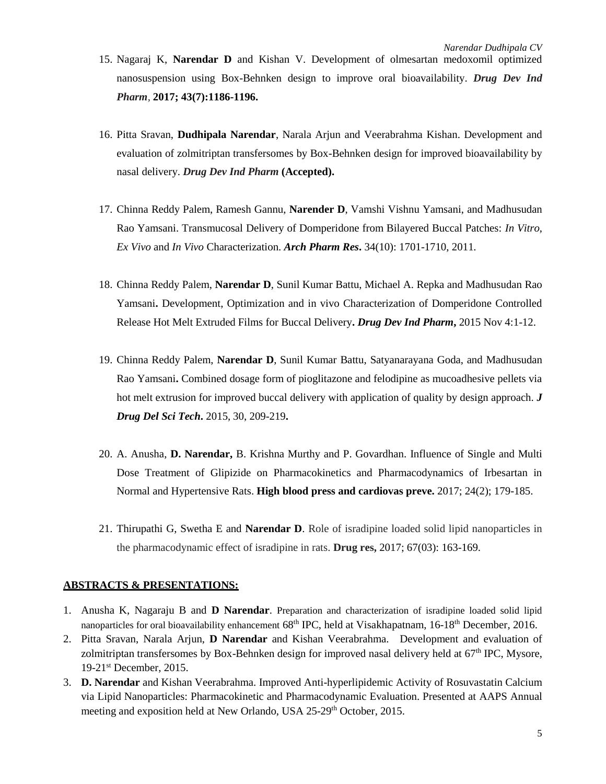- 15. Nagaraj K, **Narendar D** and Kishan V. Development of olmesartan medoxomil optimized nanosuspension using Box-Behnken design to improve oral bioavailability. *Drug Dev Ind Pharm,* **2017; 43(7):1186-1196.**
- 16. Pitta Sravan, **Dudhipala Narendar**, Narala Arjun and Veerabrahma Kishan. Development and evaluation of zolmitriptan transfersomes by Box-Behnken design for improved bioavailability by nasal delivery. *Drug Dev Ind Pharm* **(Accepted).**
- 17. Chinna Reddy Palem, Ramesh Gannu, **Narender D**, Vamshi Vishnu Yamsani, and Madhusudan Rao Yamsani. Transmucosal Delivery of Domperidone from Bilayered Buccal Patches: *In Vitro*, *Ex Vivo* and *In Vivo* Characterization. *Arch Pharm Res***.** 34(10): 1701-1710, 2011.
- 18. Chinna Reddy Palem, **Narendar D**, Sunil Kumar Battu, Michael A. Repka and Madhusudan Rao Yamsani**.** Development, Optimization and in vivo Characterization of Domperidone Controlled Release Hot Melt Extruded Films for Buccal Delivery**.** *Drug Dev Ind Pharm***,** 2015 Nov 4:1-12.
- 19. Chinna Reddy Palem, **Narendar D**, Sunil Kumar Battu, Satyanarayana Goda, and Madhusudan Rao Yamsani**.** Combined dosage form of pioglitazone and felodipine as mucoadhesive pellets via hot melt extrusion for improved buccal delivery with application of quality by design approach. *J Drug Del Sci Tech***.** 2015, 30, 209-219**.**
- 20. A. Anusha, **D. Narendar,** B. Krishna Murthy and P. Govardhan. Influence of Single and Multi Dose Treatment of Glipizide on Pharmacokinetics and Pharmacodynamics of Irbesartan in Normal and Hypertensive Rats. **High blood press and cardiovas preve.** 2017; 24(2); 179-185.
- 21. Thirupathi G, Swetha E and **Narendar D**. Role of isradipine loaded solid lipid nanoparticles in the pharmacodynamic effect of isradipine in rats. **Drug res,** 2017; 67(03): 163-169.

#### **ABSTRACTS & PRESENTATIONS:**

- 1. Anusha K, Nagaraju B and **D Narendar**. Preparation and characterization of isradipine loaded solid lipid nanoparticles for oral bioavailability enhancement 68<sup>th</sup> IPC, held at Visakhapatnam, 16-18<sup>th</sup> December, 2016.
- 2. Pitta Sravan, Narala Arjun, **D Narendar** and Kishan Veerabrahma. Development and evaluation of zolmitriptan transfersomes by Box-Behnken design for improved nasal delivery held at 67<sup>th</sup> IPC, Mysore, 19-21<sup>st</sup> December, 2015.
- 3. **D. Narendar** and Kishan Veerabrahma. Improved Anti-hyperlipidemic Activity of Rosuvastatin Calcium via Lipid Nanoparticles: Pharmacokinetic and Pharmacodynamic Evaluation. Presented at AAPS Annual meeting and exposition held at New Orlando, USA 25-29<sup>th</sup> October, 2015.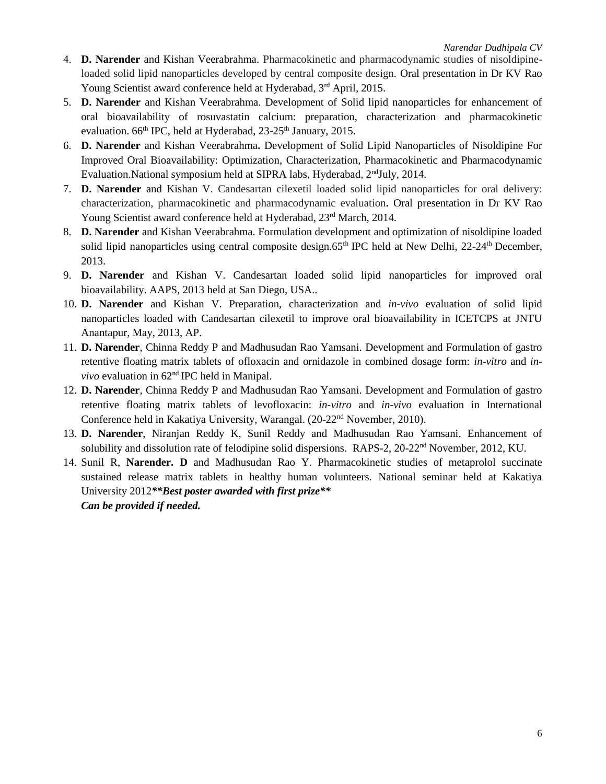- 4. **D. Narender** and Kishan Veerabrahma. Pharmacokinetic and pharmacodynamic studies of nisoldipineloaded solid lipid nanoparticles developed by central composite design. Oral presentation in Dr KV Rao Young Scientist award conference held at Hyderabad, 3<sup>rd</sup> April, 2015.
- 5. **D. Narender** and Kishan Veerabrahma. Development of Solid lipid nanoparticles for enhancement of oral bioavailability of rosuvastatin calcium: preparation, characterization and pharmacokinetic evaluation. 66<sup>th</sup> IPC, held at Hyderabad, 23-25<sup>th</sup> January, 2015.
- 6. **D. Narender** and Kishan Veerabrahma**.** Development of Solid Lipid Nanoparticles of Nisoldipine For Improved Oral Bioavailability: Optimization, Characterization, Pharmacokinetic and Pharmacodynamic Evaluation.National symposium held at SIPRA labs, Hyderabad, 2<sup>nd</sup>July, 2014.
- 7. **D. Narender** and Kishan V. Candesartan cilexetil loaded solid lipid nanoparticles for oral delivery: characterization, pharmacokinetic and pharmacodynamic evaluation**.** Oral presentation in Dr KV Rao Young Scientist award conference held at Hyderabad, 23rd March, 2014.
- 8. **D. Narender** and Kishan Veerabrahma. Formulation development and optimization of nisoldipine loaded solid lipid nanoparticles using central composite design.65<sup>th</sup> IPC held at New Delhi, 22-24<sup>th</sup> December, 2013.
- 9. **D. Narender** and Kishan V. Candesartan loaded solid lipid nanoparticles for improved oral bioavailability. AAPS, 2013 held at San Diego, USA..
- 10. **D. Narender** and Kishan V. Preparation, characterization and *in-vivo* evaluation of solid lipid nanoparticles loaded with Candesartan cilexetil to improve oral bioavailability in ICETCPS at JNTU Anantapur, May, 2013, AP.
- 11. **D. Narender**, Chinna Reddy P and Madhusudan Rao Yamsani. Development and Formulation of gastro retentive floating matrix tablets of ofloxacin and ornidazole in combined dosage form: *in-vitro* and *invivo* evaluation in 62nd IPC held in Manipal.
- 12. **D. Narender**, Chinna Reddy P and Madhusudan Rao Yamsani. Development and Formulation of gastro retentive floating matrix tablets of levofloxacin: *in-vitro* and *in-vivo* evaluation in International Conference held in Kakatiya University, Warangal. (20-22<sup>nd</sup> November, 2010).
- 13. **D. Narender**, Niranjan Reddy K, Sunil Reddy and Madhusudan Rao Yamsani. Enhancement of solubility and dissolution rate of felodipine solid dispersions. RAPS-2, 20-22nd November, 2012, KU.
- 14. Sunil R, **Narender. D** and Madhusudan Rao Y. Pharmacokinetic studies of metaprolol succinate sustained release matrix tablets in healthy human volunteers. National seminar held at Kakatiya University 2012*\*\*Best poster awarded with first prize\*\* Can be provided if needed.*